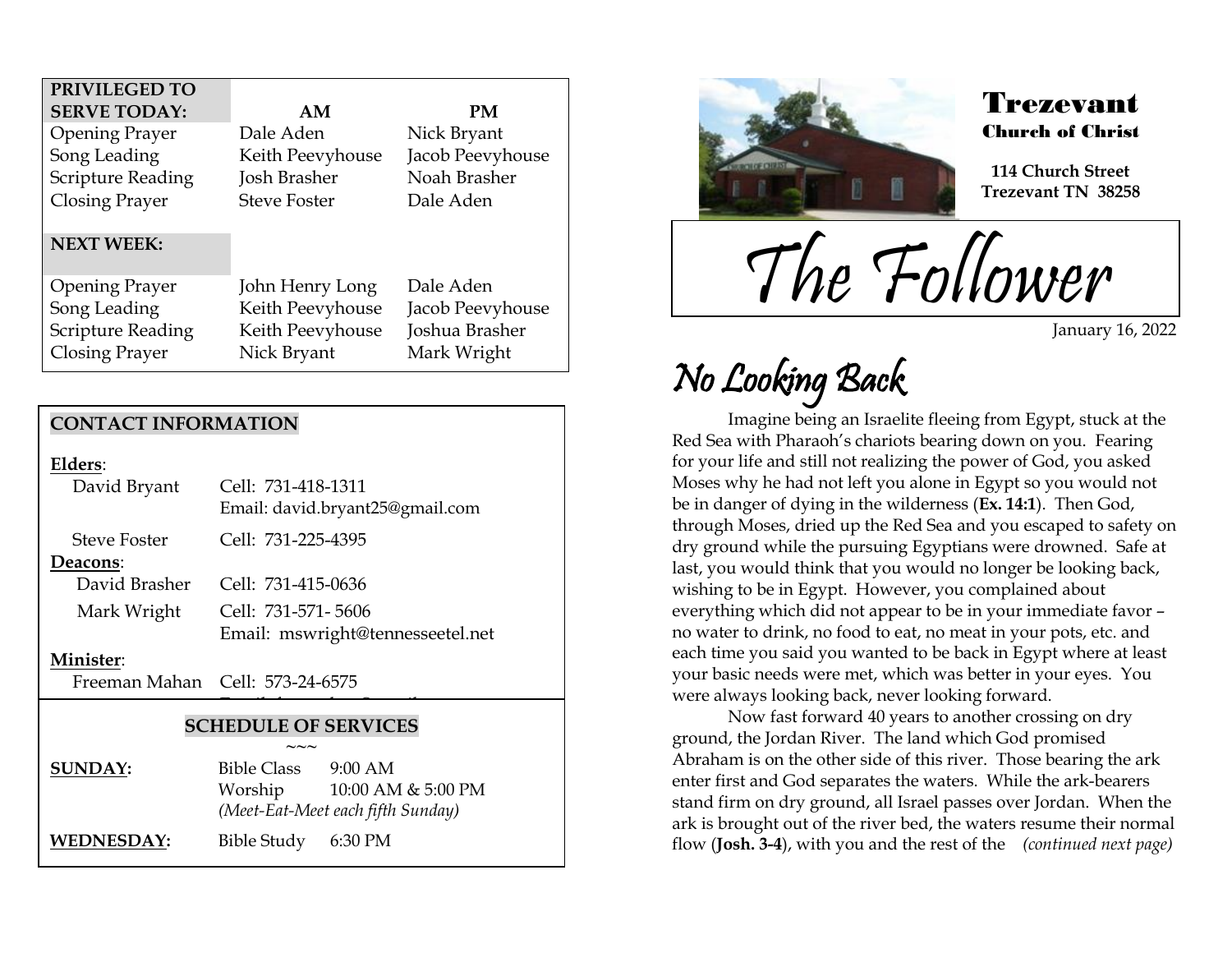| PRIVILEGED TO            |                     |                  |
|--------------------------|---------------------|------------------|
| <b>SERVE TODAY:</b>      | AΜ                  | PМ               |
| <b>Opening Prayer</b>    | Dale Aden           | Nick Bryant      |
| Song Leading             | Keith Peevyhouse    | Jacob Peevyhouse |
| <b>Scripture Reading</b> | Josh Brasher        | Noah Brasher     |
| Closing Prayer           | <b>Steve Foster</b> | Dale Aden        |
|                          |                     |                  |
| <b>NEXT WEEK:</b>        |                     |                  |
| <b>Opening Prayer</b>    | John Henry Long     | Dale Aden        |
| Song Leading             | Keith Peevyhouse    | Jacob Peevyhouse |
| <b>Scripture Reading</b> | Keith Peevyhouse    | Joshua Brasher   |
| Closing Prayer           | Nick Bryant         | Mark Wright      |

### **CONTACT INFORMATION**

| Elders: |  |
|---------|--|
| דשני    |  |

| David Bryant        | Cell: 731-418-1311<br>Email: david.bryant25@gmail.com |
|---------------------|-------------------------------------------------------|
| <b>Steve Foster</b> | Cell: 731-225-4395                                    |
| Deacons:            |                                                       |
| David Brasher       | Cell: 731-415-0636                                    |
| Mark Wright         | Cell: 731-571-5606                                    |
|                     | Email: mswright@tennesseetel.net                      |

#### **Minister**:

Freeman Mahan Cell: 573-24-6575

### **SCHEDULE OF SERVICES**

 $\overline{\phantom{a}}$ 

|                | $\sim\sim\sim$                    |                    |
|----------------|-----------------------------------|--------------------|
| <b>SUNDAY:</b> | <b>Bible Class</b>                | $9:00$ AM          |
|                | Worship                           | 10:00 AM & 5:00 PM |
|                | (Meet-Eat-Meet each fifth Sunday) |                    |
| WEDNESDAY:     | Bible Study 6:30 PM               |                    |



### Trezevant Church of Christ

**114 Church Street Trezevant TN 38258**

The Follower

January 16, 2022

# No Looking Back

.<br>F

Imagine being an Israelite fleeing from Egypt, stuck at the Red Sea with Pharaoh's chariots bearing down on you. Fearing for your life and still not realizing the power of God, you asked Moses why he had not left you alone in Egypt so you would not be in danger of dying in the wilderness (**Ex. 14:1**). Then God, through Moses, dried up the Red Sea and you escaped to safety on dry ground while the pursuing Egyptians were drowned. Safe at last, you would think that you would no longer be looking back, wishing to be in Egypt. However, you complained about everything which did not appear to be in your immediate favor – no water to drink, no food to eat, no meat in your pots, etc. and each time you said you wanted to be back in Egypt where at least your basic needs were met, which was better in your eyes. You were always looking back, never looking forward.

Now fast forward 40 years to another crossing on dry ground, the Jordan River. The land which God promised Abraham is on the other side of this river. Those bearing the ark enter first and God separates the waters. While the ark-bearers stand firm on dry ground, all Israel passes over Jordan. When the ark is brought out of the river bed, the waters resume their normal flow (**Josh. 3-4**), with you and the rest of the *(continued next page)*